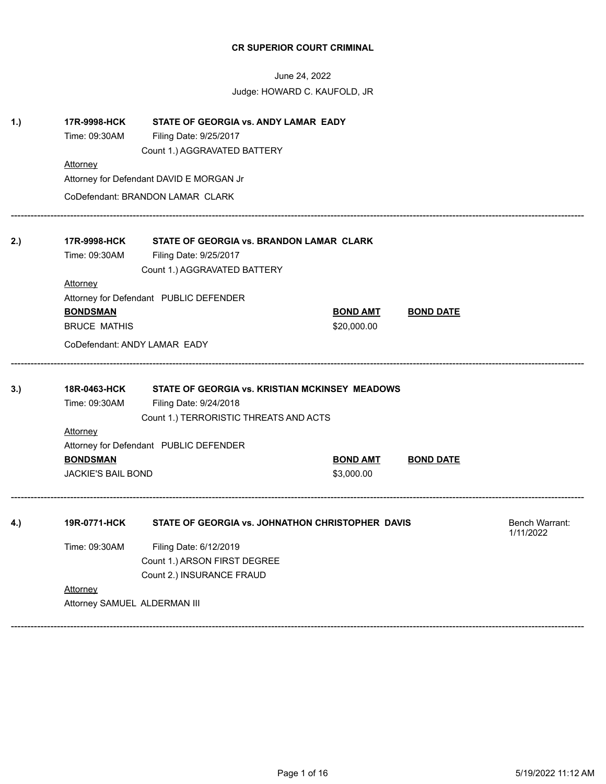|            | 17R-9998-HCK                                 | STATE OF GEORGIA vs. ANDY LAMAR EADY                                                                               |                               |                  |                             |  |  |  |  |
|------------|----------------------------------------------|--------------------------------------------------------------------------------------------------------------------|-------------------------------|------------------|-----------------------------|--|--|--|--|
|            | Time: 09:30AM                                | Filing Date: 9/25/2017                                                                                             |                               |                  |                             |  |  |  |  |
|            |                                              | Count 1.) AGGRAVATED BATTERY                                                                                       |                               |                  |                             |  |  |  |  |
|            | Attorney                                     |                                                                                                                    |                               |                  |                             |  |  |  |  |
|            |                                              | Attorney for Defendant DAVID E MORGAN Jr                                                                           |                               |                  |                             |  |  |  |  |
|            |                                              | CoDefendant: BRANDON LAMAR CLARK                                                                                   |                               |                  |                             |  |  |  |  |
| 2.)        | 17R-9998-HCK                                 | STATE OF GEORGIA vs. BRANDON LAMAR CLARK                                                                           |                               |                  |                             |  |  |  |  |
|            | Time: 09:30AM                                | Filing Date: 9/25/2017                                                                                             |                               |                  |                             |  |  |  |  |
|            |                                              | Count 1.) AGGRAVATED BATTERY                                                                                       |                               |                  |                             |  |  |  |  |
|            | <u>Attorney</u>                              |                                                                                                                    |                               |                  |                             |  |  |  |  |
|            |                                              | Attorney for Defendant PUBLIC DEFENDER                                                                             |                               |                  |                             |  |  |  |  |
|            | <b>BONDSMAN</b>                              |                                                                                                                    | <b>BOND AMT</b>               | <b>BOND DATE</b> |                             |  |  |  |  |
|            | <b>BRUCE MATHIS</b>                          |                                                                                                                    | \$20,000.00                   |                  |                             |  |  |  |  |
|            | CoDefendant: ANDY LAMAR EADY                 |                                                                                                                    |                               |                  |                             |  |  |  |  |
|            |                                              |                                                                                                                    |                               |                  |                             |  |  |  |  |
|            | 18R-0463-HCK<br>Time: 09:30AM                | STATE OF GEORGIA vs. KRISTIAN MCKINSEY MEADOWS<br>Filing Date: 9/24/2018<br>Count 1.) TERRORISTIC THREATS AND ACTS |                               |                  |                             |  |  |  |  |
|            | <u>Attorney</u>                              |                                                                                                                    |                               |                  |                             |  |  |  |  |
|            |                                              | Attorney for Defendant PUBLIC DEFENDER                                                                             |                               |                  |                             |  |  |  |  |
|            | <b>BONDSMAN</b><br><b>JACKIE'S BAIL BOND</b> |                                                                                                                    | <b>BOND AMT</b><br>\$3,000.00 | <b>BOND DATE</b> |                             |  |  |  |  |
|            | 19R-0771-HCK                                 | STATE OF GEORGIA vs. JOHNATHON CHRISTOPHER DAVIS                                                                   |                               |                  | Bench Warrant:<br>1/11/2022 |  |  |  |  |
|            |                                              |                                                                                                                    |                               |                  |                             |  |  |  |  |
|            | Time: 09:30AM                                | Filing Date: 6/12/2019                                                                                             |                               |                  |                             |  |  |  |  |
|            |                                              | Count 1.) ARSON FIRST DEGREE<br>Count 2.) INSURANCE FRAUD                                                          |                               |                  |                             |  |  |  |  |
| 3.)<br>4.) | Attorney                                     |                                                                                                                    |                               |                  |                             |  |  |  |  |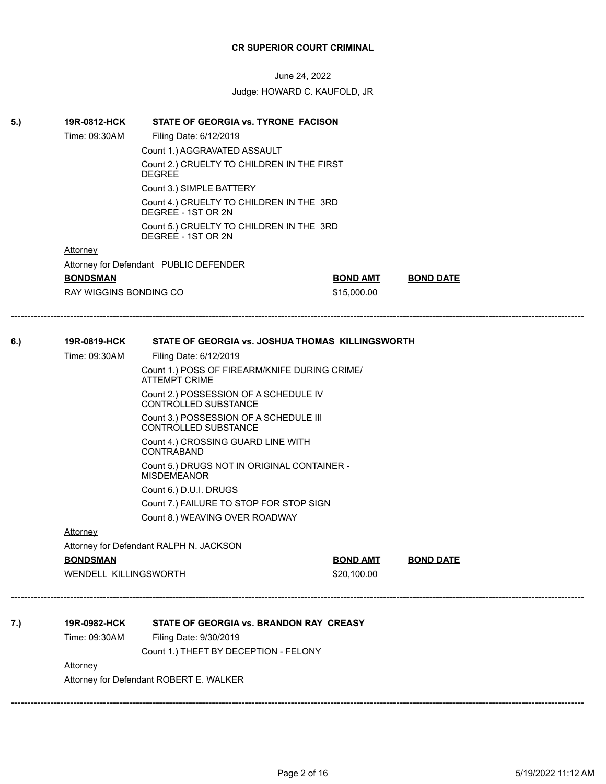| 5.) | 19R-0812-HCK           | STATE OF GEORGIA vs. TYRONE FACISON                                   |                 |                  |  |
|-----|------------------------|-----------------------------------------------------------------------|-----------------|------------------|--|
|     | Time: 09:30AM          | Filing Date: 6/12/2019                                                |                 |                  |  |
|     |                        | Count 1.) AGGRAVATED ASSAULT                                          |                 |                  |  |
|     |                        | Count 2.) CRUELTY TO CHILDREN IN THE FIRST<br><b>DEGREE</b>           |                 |                  |  |
|     |                        | Count 3.) SIMPLE BATTERY                                              |                 |                  |  |
|     |                        | Count 4.) CRUELTY TO CHILDREN IN THE 3RD<br>DEGREE - 1ST OR 2N        |                 |                  |  |
|     |                        | Count 5.) CRUELTY TO CHILDREN IN THE 3RD<br>DEGREE - 1ST OR 2N        |                 |                  |  |
|     | <b>Attorney</b>        |                                                                       |                 |                  |  |
|     |                        | Attorney for Defendant PUBLIC DEFENDER                                |                 |                  |  |
|     | <b>BONDSMAN</b>        |                                                                       | <b>BOND AMT</b> | <b>BOND DATE</b> |  |
|     | RAY WIGGINS BONDING CO |                                                                       | \$15,000.00     |                  |  |
|     |                        |                                                                       |                 |                  |  |
| 6.) | 19R-0819-HCK           | STATE OF GEORGIA vs. JOSHUA THOMAS KILLINGSWORTH                      |                 |                  |  |
|     | Time: 09:30AM          | Filing Date: 6/12/2019                                                |                 |                  |  |
|     |                        | Count 1.) POSS OF FIREARM/KNIFE DURING CRIME/<br><b>ATTEMPT CRIME</b> |                 |                  |  |
|     |                        | Count 2.) POSSESSION OF A SCHEDULE IV<br>CONTROLLED SUBSTANCE         |                 |                  |  |
|     |                        | Count 3.) POSSESSION OF A SCHEDULE III<br>CONTROLLED SUBSTANCE        |                 |                  |  |
|     |                        | Count 4.) CROSSING GUARD LINE WITH<br><b>CONTRABAND</b>               |                 |                  |  |
|     |                        | Count 5.) DRUGS NOT IN ORIGINAL CONTAINER -<br><b>MISDEMEANOR</b>     |                 |                  |  |
|     |                        | Count 6.) D.U.I. DRUGS                                                |                 |                  |  |
|     |                        | Count 7.) FAILURE TO STOP FOR STOP SIGN                               |                 |                  |  |
|     |                        | Count 8.) WEAVING OVER ROADWAY                                        |                 |                  |  |
|     | <b>Attorney</b>        |                                                                       |                 |                  |  |
|     |                        | Attorney for Defendant RALPH N. JACKSON                               |                 |                  |  |
|     | <b>BONDSMAN</b>        |                                                                       | <b>BOND AMT</b> | <b>BOND DATE</b> |  |
|     | WENDELL KILLINGSWORTH  |                                                                       | \$20,100.00     |                  |  |
|     |                        |                                                                       |                 |                  |  |
| 7.) | 19R-0982-HCK           | STATE OF GEORGIA vs. BRANDON RAY CREASY                               |                 |                  |  |
|     | Time: 09:30AM          | Filing Date: 9/30/2019                                                |                 |                  |  |
|     |                        | Count 1.) THEFT BY DECEPTION - FELONY                                 |                 |                  |  |
|     | Attorney               |                                                                       |                 |                  |  |
|     |                        | Attorney for Defendant ROBERT E. WALKER                               |                 |                  |  |
|     |                        |                                                                       |                 |                  |  |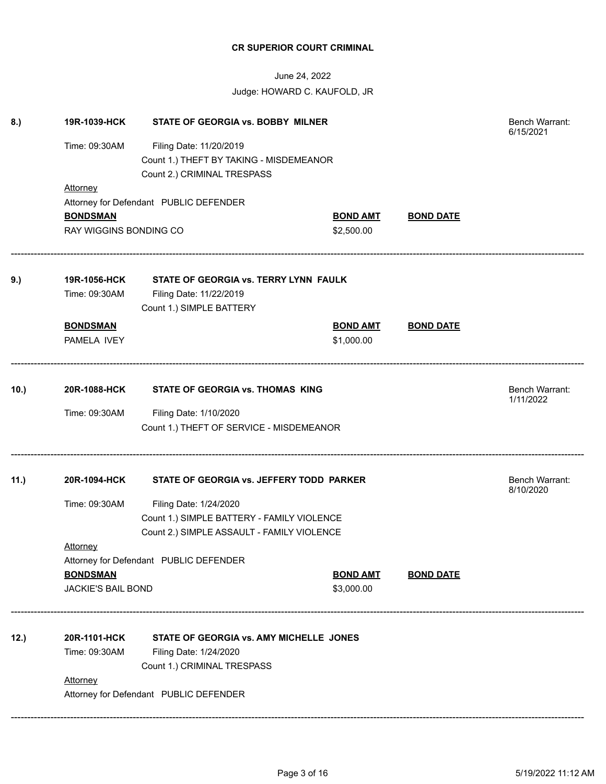| 8.)  | 19R-1039-HCK              | STATE OF GEORGIA vs. BOBBY MILNER          |                 |                  | Bench Warrant:<br>6/15/2021 |
|------|---------------------------|--------------------------------------------|-----------------|------------------|-----------------------------|
|      | Time: 09:30AM             | Filing Date: 11/20/2019                    |                 |                  |                             |
|      |                           | Count 1.) THEFT BY TAKING - MISDEMEANOR    |                 |                  |                             |
|      |                           | Count 2.) CRIMINAL TRESPASS                |                 |                  |                             |
|      | Attorney                  |                                            |                 |                  |                             |
|      |                           | Attorney for Defendant PUBLIC DEFENDER     |                 |                  |                             |
|      | <b>BONDSMAN</b>           |                                            | <b>BOND AMT</b> | <b>BOND DATE</b> |                             |
|      | RAY WIGGINS BONDING CO    |                                            | \$2,500.00      |                  |                             |
| 9.)  | 19R-1056-HCK              | STATE OF GEORGIA vs. TERRY LYNN FAULK      |                 |                  |                             |
|      | Time: 09:30AM             | Filing Date: 11/22/2019                    |                 |                  |                             |
|      |                           | Count 1.) SIMPLE BATTERY                   |                 |                  |                             |
|      |                           |                                            |                 |                  |                             |
|      | <b>BONDSMAN</b>           |                                            | <b>BOND AMT</b> | <b>BOND DATE</b> |                             |
|      | PAMELA IVEY               |                                            | \$1,000.00      |                  |                             |
| 10.  | 20R-1088-HCK              | STATE OF GEORGIA vs. THOMAS KING           |                 |                  | <b>Bench Warrant:</b>       |
|      |                           |                                            |                 |                  | 1/11/2022                   |
|      | Time: 09:30AM             | Filing Date: 1/10/2020                     |                 |                  |                             |
|      |                           | Count 1.) THEFT OF SERVICE - MISDEMEANOR   |                 |                  |                             |
| 11.) | 20R-1094-HCK              | STATE OF GEORGIA vs. JEFFERY TODD PARKER   |                 |                  | Bench Warrant:              |
|      |                           |                                            |                 |                  | 8/10/2020                   |
|      | Time: 09:30AM             | Filing Date: 1/24/2020                     |                 |                  |                             |
|      |                           | Count 1.) SIMPLE BATTERY - FAMILY VIOLENCE |                 |                  |                             |
|      |                           | Count 2.) SIMPLE ASSAULT - FAMILY VIOLENCE |                 |                  |                             |
|      | <b>Attorney</b>           |                                            |                 |                  |                             |
|      |                           | Attorney for Defendant PUBLIC DEFENDER     |                 |                  |                             |
|      | <b>BONDSMAN</b>           |                                            | <b>BOND AMT</b> | <b>BOND DATE</b> |                             |
|      | <b>JACKIE'S BAIL BOND</b> |                                            | \$3,000.00      |                  |                             |
| 12.) | 20R-1101-HCK              | STATE OF GEORGIA vs. AMY MICHELLE JONES    |                 |                  |                             |
|      | Time: 09:30AM             | Filing Date: 1/24/2020                     |                 |                  |                             |
|      |                           | Count 1.) CRIMINAL TRESPASS                |                 |                  |                             |
|      | <b>Attorney</b>           |                                            |                 |                  |                             |
|      |                           |                                            |                 |                  |                             |
|      |                           | Attorney for Defendant PUBLIC DEFENDER     |                 |                  |                             |
|      |                           |                                            |                 |                  |                             |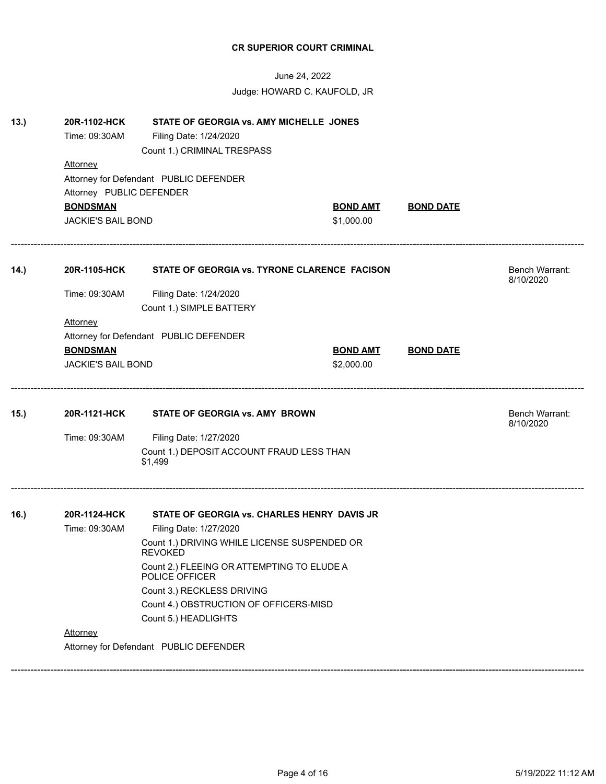| June 24, 2022<br>Judge: HOWARD C. KAUFOLD, JR |                               |                                                                                                  |                 |                  |                             |
|-----------------------------------------------|-------------------------------|--------------------------------------------------------------------------------------------------|-----------------|------------------|-----------------------------|
| 13.                                           | 20R-1102-HCK<br>Time: 09:30AM | STATE OF GEORGIA vs. AMY MICHELLE JONES<br>Filing Date: 1/24/2020<br>Count 1.) CRIMINAL TRESPASS |                 |                  |                             |
|                                               | Attorney                      |                                                                                                  |                 |                  |                             |
|                                               | Attorney PUBLIC DEFENDER      | Attorney for Defendant PUBLIC DEFENDER                                                           |                 |                  |                             |
|                                               | <b>BONDSMAN</b>               |                                                                                                  | <b>BOND AMT</b> | <b>BOND DATE</b> |                             |
|                                               | <b>JACKIE'S BAIL BOND</b>     |                                                                                                  | \$1,000.00      |                  |                             |
| 14.)                                          | 20R-1105-HCK                  | STATE OF GEORGIA vs. TYRONE CLARENCE FACISON                                                     |                 |                  | Bench Warrant:<br>8/10/2020 |
|                                               | Time: 09:30AM                 | Filing Date: 1/24/2020                                                                           |                 |                  |                             |
|                                               |                               | Count 1.) SIMPLE BATTERY                                                                         |                 |                  |                             |
|                                               | <b>Attorney</b>               |                                                                                                  |                 |                  |                             |
|                                               |                               | Attorney for Defendant PUBLIC DEFENDER                                                           |                 |                  |                             |
|                                               | <b>BONDSMAN</b>               |                                                                                                  | <b>BOND AMT</b> | <b>BOND DATE</b> |                             |
|                                               | <b>JACKIE'S BAIL BOND</b>     |                                                                                                  | \$2,000.00      |                  |                             |
| 15.)                                          | 20R-1121-HCK                  | STATE OF GEORGIA vs. AMY BROWN                                                                   |                 |                  | Bench Warrant:<br>8/10/2020 |
|                                               | Time: 09:30AM                 | Filing Date: 1/27/2020                                                                           |                 |                  |                             |
|                                               |                               | Count 1.) DEPOSIT ACCOUNT FRAUD LESS THAN<br>\$1,499                                             |                 |                  |                             |
| 16.)                                          | 20R-1124-HCK                  | STATE OF GEORGIA vs. CHARLES HENRY DAVIS JR                                                      |                 |                  |                             |
|                                               | Time: 09:30AM                 | Filing Date: 1/27/2020                                                                           |                 |                  |                             |
|                                               |                               | Count 1.) DRIVING WHILE LICENSE SUSPENDED OR<br><b>REVOKED</b>                                   |                 |                  |                             |
|                                               |                               | Count 2.) FLEEING OR ATTEMPTING TO ELUDE A<br>POLICE OFFICER                                     |                 |                  |                             |
|                                               |                               | Count 3.) RECKLESS DRIVING                                                                       |                 |                  |                             |
|                                               |                               |                                                                                                  |                 |                  |                             |
|                                               |                               | Count 4.) OBSTRUCTION OF OFFICERS-MISD                                                           |                 |                  |                             |
|                                               |                               | Count 5.) HEADLIGHTS                                                                             |                 |                  |                             |
|                                               | Attorney                      | Attorney for Defendant PUBLIC DEFENDER                                                           |                 |                  |                             |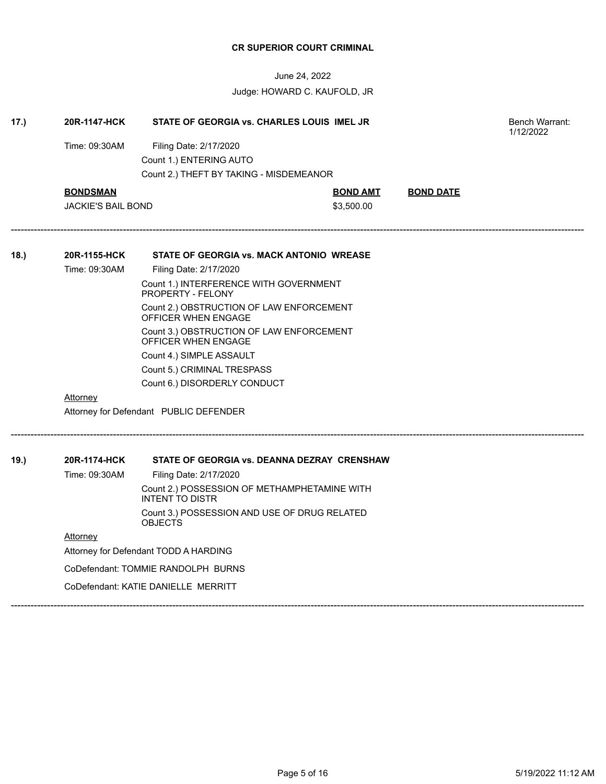| 17.) | 20R-1147-HCK              | STATE OF GEORGIA vs. CHARLES LOUIS IMEL JR                             |                 |                  |  |
|------|---------------------------|------------------------------------------------------------------------|-----------------|------------------|--|
|      | Time: 09:30AM             | Filing Date: 2/17/2020                                                 |                 |                  |  |
|      |                           | Count 1.) ENTERING AUTO                                                |                 |                  |  |
|      |                           | Count 2.) THEFT BY TAKING - MISDEMEANOR                                |                 |                  |  |
|      | <b>BONDSMAN</b>           |                                                                        | <b>BOND AMT</b> | <b>BOND DATE</b> |  |
|      | <b>JACKIE'S BAIL BOND</b> |                                                                        | \$3,500.00      |                  |  |
| 18.  | 20R-1155-HCK              | STATE OF GEORGIA vs. MACK ANTONIO WREASE                               |                 |                  |  |
|      | Time: 09:30AM             | Filing Date: 2/17/2020                                                 |                 |                  |  |
|      |                           | Count 1.) INTERFERENCE WITH GOVERNMENT<br>PROPERTY - FELONY            |                 |                  |  |
|      |                           | Count 2.) OBSTRUCTION OF LAW ENFORCEMENT<br>OFFICER WHEN ENGAGE        |                 |                  |  |
|      |                           | Count 3.) OBSTRUCTION OF LAW ENFORCEMENT<br>OFFICER WHEN ENGAGE        |                 |                  |  |
|      |                           | Count 4.) SIMPLE ASSAULT                                               |                 |                  |  |
|      |                           | Count 5.) CRIMINAL TRESPASS                                            |                 |                  |  |
|      |                           | Count 6.) DISORDERLY CONDUCT                                           |                 |                  |  |
|      | <b>Attorney</b>           |                                                                        |                 |                  |  |
|      |                           | Attorney for Defendant PUBLIC DEFENDER                                 |                 |                  |  |
| 19.  | 20R-1174-HCK              | STATE OF GEORGIA vs. DEANNA DEZRAY CRENSHAW                            |                 |                  |  |
|      | Time: 09:30AM             | Filing Date: 2/17/2020                                                 |                 |                  |  |
|      |                           | Count 2.) POSSESSION OF METHAMPHETAMINE WITH<br><b>INTENT TO DISTR</b> |                 |                  |  |
|      |                           | Count 3.) POSSESSION AND USE OF DRUG RELATED<br><b>OBJECTS</b>         |                 |                  |  |
|      | Attorney                  |                                                                        |                 |                  |  |
|      |                           | Attorney for Defendant TODD A HARDING                                  |                 |                  |  |
|      |                           | CoDefendant: TOMMIE RANDOLPH BURNS                                     |                 |                  |  |
|      |                           | CoDefendant: KATIE DANIELLE MERRITT                                    |                 |                  |  |
|      |                           |                                                                        |                 |                  |  |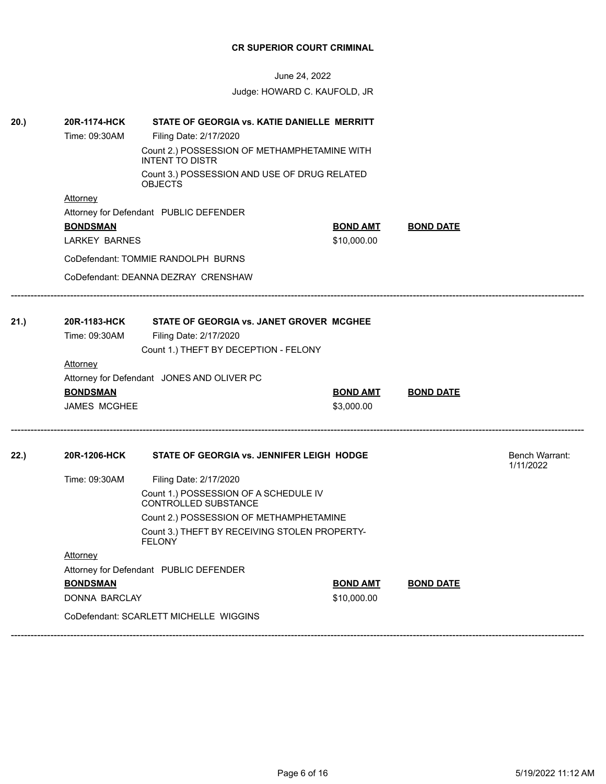| 20.) | STATE OF GEORGIA vs. KATIE DANIELLE MERRITT<br>20R-1174-HCK |                                                                |                 |                  |                             |
|------|-------------------------------------------------------------|----------------------------------------------------------------|-----------------|------------------|-----------------------------|
|      | Time: 09:30AM                                               | Filing Date: 2/17/2020                                         |                 |                  |                             |
|      |                                                             |                                                                |                 |                  |                             |
|      |                                                             | Count 3.) POSSESSION AND USE OF DRUG RELATED<br><b>OBJECTS</b> |                 |                  |                             |
|      | <b>Attorney</b>                                             |                                                                |                 |                  |                             |
|      |                                                             | Attorney for Defendant PUBLIC DEFENDER                         |                 |                  |                             |
|      | <b>BONDSMAN</b>                                             |                                                                | <b>BOND AMT</b> | <b>BOND DATE</b> |                             |
|      | <b>LARKEY BARNES</b>                                        |                                                                | \$10,000.00     |                  |                             |
|      |                                                             | CoDefendant: TOMMIE RANDOLPH BURNS                             |                 |                  |                             |
|      |                                                             | CoDefendant: DEANNA DEZRAY CRENSHAW                            |                 |                  |                             |
| 21.) | 20R-1183-HCK                                                | STATE OF GEORGIA vs. JANET GROVER MCGHEE                       |                 |                  |                             |
|      | Time: 09:30AM                                               | Filing Date: 2/17/2020                                         |                 |                  |                             |
|      |                                                             | Count 1.) THEFT BY DECEPTION - FELONY                          |                 |                  |                             |
|      | <b>Attorney</b>                                             |                                                                |                 |                  |                             |
|      |                                                             | Attorney for Defendant JONES AND OLIVER PC                     |                 |                  |                             |
|      | <b>BONDSMAN</b>                                             |                                                                | <b>BOND AMT</b> | <b>BOND DATE</b> |                             |
|      | <b>JAMES MCGHEE</b>                                         |                                                                | \$3,000.00      |                  |                             |
| 22.) | 20R-1206-HCK                                                | STATE OF GEORGIA vs. JENNIFER LEIGH HODGE                      |                 |                  | Bench Warrant:<br>1/11/2022 |
|      | Time: 09:30AM                                               | Filing Date: 2/17/2020                                         |                 |                  |                             |
|      |                                                             | Count 1.) POSSESSION OF A SCHEDULE IV<br>CONTROLLED SUBSTANCE  |                 |                  |                             |
|      |                                                             | Count 2.) POSSESSION OF METHAMPHETAMINE                        |                 |                  |                             |
|      |                                                             | Count 3.) THEFT BY RECEIVING STOLEN PROPERTY-<br><b>FELONY</b> |                 |                  |                             |
|      | Attorney                                                    |                                                                |                 |                  |                             |
|      |                                                             | Attorney for Defendant PUBLIC DEFENDER                         |                 |                  |                             |
|      | <b>BONDSMAN</b>                                             |                                                                | <b>BOND AMT</b> | <b>BOND DATE</b> |                             |
|      | DONNA BARCLAY                                               |                                                                | \$10,000.00     |                  |                             |
|      |                                                             | CoDefendant: SCARLETT MICHELLE WIGGINS                         |                 |                  |                             |
|      |                                                             |                                                                |                 |                  |                             |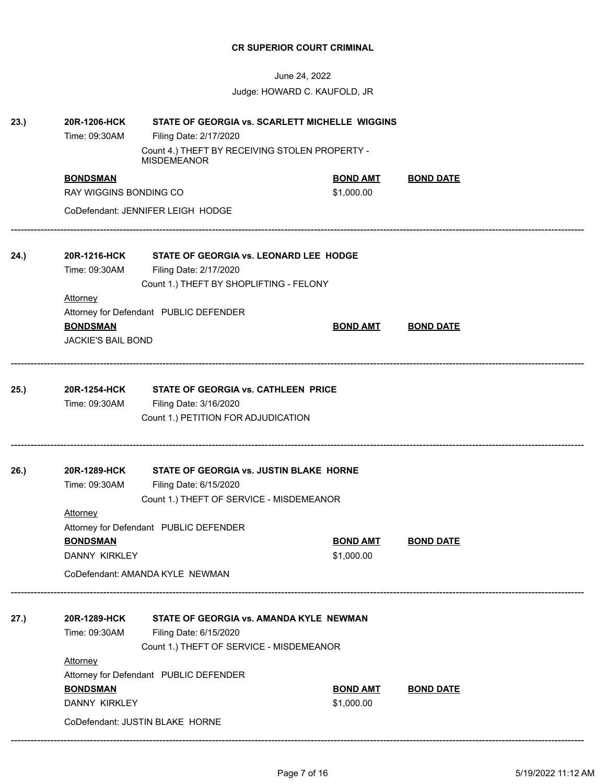| 23.) | 20R-1206-HCK<br>STATE OF GEORGIA vs. SCARLETT MICHELLE WIGGINS |                                                                      |                 |                  |  |  |
|------|----------------------------------------------------------------|----------------------------------------------------------------------|-----------------|------------------|--|--|
|      | Time: 09:30AM                                                  | Filing Date: 2/17/2020                                               |                 |                  |  |  |
|      |                                                                | Count 4.) THEFT BY RECEIVING STOLEN PROPERTY -<br><b>MISDEMEANOR</b> |                 |                  |  |  |
|      | <b>BONDSMAN</b>                                                |                                                                      | <b>BOND AMT</b> | <b>BOND DATE</b> |  |  |
|      | RAY WIGGINS BONDING CO                                         |                                                                      | \$1,000.00      |                  |  |  |
|      |                                                                | CoDefendant: JENNIFER LEIGH HODGE                                    |                 |                  |  |  |
| 24.) | 20R-1216-HCK                                                   | STATE OF GEORGIA vs. LEONARD LEE HODGE                               |                 |                  |  |  |
|      | Time: 09:30AM                                                  | Filing Date: 2/17/2020                                               |                 |                  |  |  |
|      |                                                                | Count 1.) THEFT BY SHOPLIFTING - FELONY                              |                 |                  |  |  |
|      | <b>Attorney</b>                                                |                                                                      |                 |                  |  |  |
|      |                                                                | Attorney for Defendant PUBLIC DEFENDER                               |                 |                  |  |  |
|      | <b>BONDSMAN</b>                                                |                                                                      | <b>BOND AMT</b> | <b>BOND DATE</b> |  |  |
|      | <b>JACKIE'S BAIL BOND</b>                                      |                                                                      |                 |                  |  |  |
| 25.) | 20R-1254-HCK<br><b>STATE OF GEORGIA vs. CATHLEEN PRICE</b>     |                                                                      |                 |                  |  |  |
|      | Time: 09:30AM                                                  | Filing Date: 3/16/2020                                               |                 |                  |  |  |
|      |                                                                | Count 1.) PETITION FOR ADJUDICATION                                  |                 |                  |  |  |
|      |                                                                |                                                                      |                 |                  |  |  |
| 26.) | 20R-1289-HCK                                                   | STATE OF GEORGIA vs. JUSTIN BLAKE HORNE                              |                 |                  |  |  |
|      | Time: 09:30AM                                                  | Filing Date: 6/15/2020                                               |                 |                  |  |  |
|      |                                                                | Count 1.) THEFT OF SERVICE - MISDEMEANOR                             |                 |                  |  |  |
|      | <b>Attorney</b>                                                |                                                                      |                 |                  |  |  |
|      |                                                                | Attorney for Defendant PUBLIC DEFENDER                               |                 |                  |  |  |
|      | <b>BONDSMAN</b>                                                |                                                                      | <b>BOND AMT</b> | <b>BOND DATE</b> |  |  |
|      | DANNY KIRKLEY                                                  |                                                                      | \$1,000.00      |                  |  |  |
|      |                                                                | CoDefendant: AMANDA KYLE NEWMAN                                      |                 |                  |  |  |
| 27.) | 20R-1289-HCK                                                   | STATE OF GEORGIA vs. AMANDA KYLE NEWMAN                              |                 |                  |  |  |
|      | Time: 09:30AM                                                  | Filing Date: 6/15/2020                                               |                 |                  |  |  |
|      |                                                                | Count 1.) THEFT OF SERVICE - MISDEMEANOR                             |                 |                  |  |  |
|      | Attorney                                                       |                                                                      |                 |                  |  |  |
|      |                                                                | Attorney for Defendant PUBLIC DEFENDER                               |                 |                  |  |  |
|      | <b>BONDSMAN</b>                                                |                                                                      | <b>BOND AMT</b> | <b>BOND DATE</b> |  |  |
|      | DANNY KIRKLEY                                                  |                                                                      | \$1,000.00      |                  |  |  |
|      |                                                                | CoDefendant: JUSTIN BLAKE HORNE                                      |                 |                  |  |  |
|      |                                                                |                                                                      |                 |                  |  |  |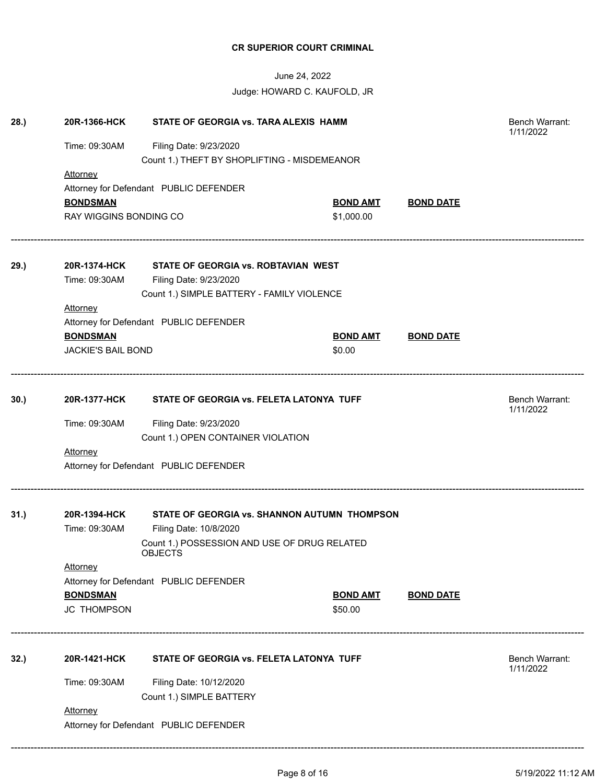| 28.) | 20R-1366-HCK<br>STATE OF GEORGIA vs. TARA ALEXIS HAMM    |                                                                |                 |                  | Bench Warrant:<br>1/11/2022 |
|------|----------------------------------------------------------|----------------------------------------------------------------|-----------------|------------------|-----------------------------|
|      | Time: 09:30AM                                            |                                                                |                 |                  |                             |
|      |                                                          | Count 1.) THEFT BY SHOPLIFTING - MISDEMEANOR                   |                 |                  |                             |
|      | Attorney                                                 |                                                                |                 |                  |                             |
|      |                                                          | Attorney for Defendant PUBLIC DEFENDER                         |                 |                  |                             |
|      | <b>BONDSMAN</b>                                          |                                                                | <b>BOND AMT</b> | <b>BOND DATE</b> |                             |
|      | RAY WIGGINS BONDING CO                                   |                                                                | \$1,000.00      |                  |                             |
| 29.) | 20R-1374-HCK                                             | STATE OF GEORGIA vs. ROBTAVIAN WEST                            |                 |                  |                             |
|      | Time: 09:30AM                                            | Filing Date: 9/23/2020                                         |                 |                  |                             |
|      |                                                          | Count 1.) SIMPLE BATTERY - FAMILY VIOLENCE                     |                 |                  |                             |
|      | <b>Attorney</b>                                          |                                                                |                 |                  |                             |
|      |                                                          | Attorney for Defendant PUBLIC DEFENDER                         |                 |                  |                             |
|      | <b>BONDSMAN</b>                                          |                                                                | <b>BOND AMT</b> | <b>BOND DATE</b> |                             |
|      | <b>JACKIE'S BAIL BOND</b>                                |                                                                | \$0.00          |                  |                             |
|      |                                                          |                                                                |                 |                  |                             |
| 30.) |                                                          | 20R-1377-HCK STATE OF GEORGIA vs. FELETA LATONYA TUFF          |                 |                  | Bench Warrant:<br>1/11/2022 |
|      | Time: 09:30AM                                            | Filing Date: 9/23/2020                                         |                 |                  |                             |
|      |                                                          | Count 1.) OPEN CONTAINER VIOLATION                             |                 |                  |                             |
|      | <b>Attorney</b>                                          |                                                                |                 |                  |                             |
|      |                                                          | Attorney for Defendant PUBLIC DEFENDER                         |                 |                  |                             |
|      |                                                          |                                                                |                 |                  |                             |
| 31.  | 20R-1394-HCK                                             | STATE OF GEORGIA vs. SHANNON AUTUMN THOMPSON                   |                 |                  |                             |
|      | Time: 09:30AM                                            | Filing Date: 10/8/2020                                         |                 |                  |                             |
|      |                                                          | Count 1.) POSSESSION AND USE OF DRUG RELATED<br><b>OBJECTS</b> |                 |                  |                             |
|      | Attorney                                                 |                                                                |                 |                  |                             |
|      |                                                          | Attorney for Defendant PUBLIC DEFENDER                         |                 |                  |                             |
|      | <b>BONDSMAN</b>                                          |                                                                | <b>BOND AMT</b> | <b>BOND DATE</b> |                             |
|      | <b>JC THOMPSON</b>                                       |                                                                | \$50.00         |                  |                             |
| 32.) | 20R-1421-HCK<br>STATE OF GEORGIA vs. FELETA LATONYA TUFF |                                                                |                 | Bench Warrant:   |                             |
|      |                                                          |                                                                |                 |                  | 1/11/2022                   |
|      | Time: 09:30AM                                            | Filing Date: 10/12/2020                                        |                 |                  |                             |
|      |                                                          | Count 1.) SIMPLE BATTERY                                       |                 |                  |                             |
|      | <b>Attorney</b>                                          |                                                                |                 |                  |                             |
|      | Attorney for Defendant PUBLIC DEFENDER                   |                                                                |                 |                  |                             |
|      |                                                          |                                                                |                 |                  |                             |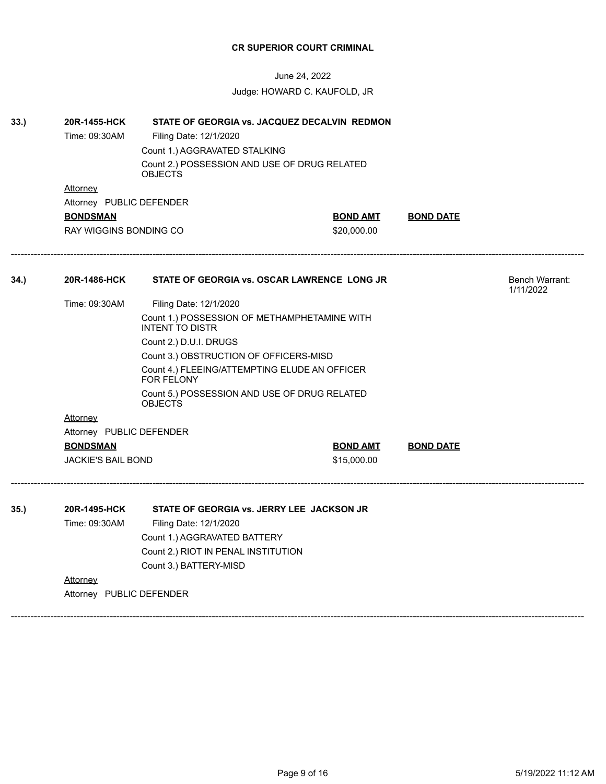June 24, 2022 Judge: HOWARD C. KAUFOLD, JR

| 33.) | 20R-1455-HCK<br>STATE OF GEORGIA vs. JACQUEZ DECALVIN REDMON<br>Time: 09:30AM<br>Filing Date: 12/1/2020<br>Count 1.) AGGRAVATED STALKING<br>Count 2.) POSSESSION AND USE OF DRUG RELATED<br><b>OBJECTS</b> |                                                                        |                 |                  |                                    |  |  |
|------|------------------------------------------------------------------------------------------------------------------------------------------------------------------------------------------------------------|------------------------------------------------------------------------|-----------------|------------------|------------------------------------|--|--|
|      | Attorney                                                                                                                                                                                                   |                                                                        |                 |                  |                                    |  |  |
|      | Attorney PUBLIC DEFENDER                                                                                                                                                                                   |                                                                        |                 |                  |                                    |  |  |
|      | <b>BONDSMAN</b>                                                                                                                                                                                            |                                                                        | <b>BOND AMT</b> | <b>BOND DATE</b> |                                    |  |  |
|      | <b>RAY WIGGINS BONDING CO</b>                                                                                                                                                                              |                                                                        | \$20,000.00     |                  |                                    |  |  |
| 34.) | 20R-1486-HCK                                                                                                                                                                                               | STATE OF GEORGIA vs. OSCAR LAWRENCE LONG JR                            |                 |                  | <b>Bench Warrant:</b><br>1/11/2022 |  |  |
|      | Time: 09:30AM                                                                                                                                                                                              | Filing Date: 12/1/2020                                                 |                 |                  |                                    |  |  |
|      |                                                                                                                                                                                                            | Count 1.) POSSESSION OF METHAMPHETAMINE WITH<br><b>INTENT TO DISTR</b> |                 |                  |                                    |  |  |
|      |                                                                                                                                                                                                            | Count 2.) D.U.I. DRUGS                                                 |                 |                  |                                    |  |  |
|      |                                                                                                                                                                                                            |                                                                        |                 |                  |                                    |  |  |
|      |                                                                                                                                                                                                            | Count 4.) FLEEING/ATTEMPTING ELUDE AN OFFICER<br><b>FOR FELONY</b>     |                 |                  |                                    |  |  |
|      |                                                                                                                                                                                                            | Count 5.) POSSESSION AND USE OF DRUG RELATED<br><b>OBJECTS</b>         |                 |                  |                                    |  |  |
|      | Attorney                                                                                                                                                                                                   |                                                                        |                 |                  |                                    |  |  |
|      | Attorney PUBLIC DEFENDER                                                                                                                                                                                   |                                                                        |                 |                  |                                    |  |  |
|      | <b>BONDSMAN</b>                                                                                                                                                                                            |                                                                        | <b>BOND AMT</b> | <b>BOND DATE</b> |                                    |  |  |
|      | <b>JACKIE'S BAIL BOND</b>                                                                                                                                                                                  |                                                                        | \$15,000.00     |                  |                                    |  |  |
| 35.) | 20R-1495-HCK                                                                                                                                                                                               | STATE OF GEORGIA vs. JERRY LEE JACKSON JR                              |                 |                  |                                    |  |  |
|      | Time: 09:30AM                                                                                                                                                                                              | Filing Date: 12/1/2020                                                 |                 |                  |                                    |  |  |
|      |                                                                                                                                                                                                            | Count 1.) AGGRAVATED BATTERY                                           |                 |                  |                                    |  |  |
|      |                                                                                                                                                                                                            | Count 2.) RIOT IN PENAL INSTITUTION                                    |                 |                  |                                    |  |  |
|      |                                                                                                                                                                                                            | Count 3.) BATTERY-MISD                                                 |                 |                  |                                    |  |  |
|      | Attorney                                                                                                                                                                                                   |                                                                        |                 |                  |                                    |  |  |
|      | Attorney PUBLIC DEFENDER                                                                                                                                                                                   |                                                                        |                 |                  |                                    |  |  |
|      |                                                                                                                                                                                                            |                                                                        |                 |                  |                                    |  |  |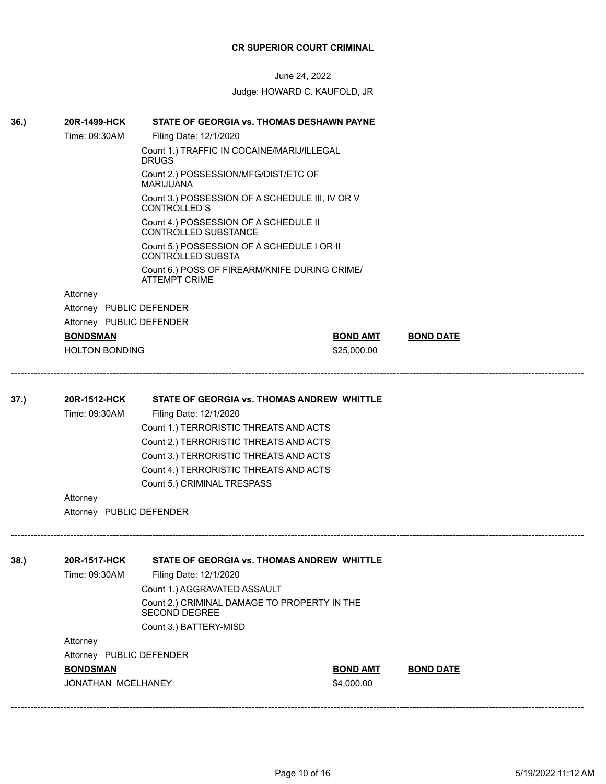June 24, 2022 Judge: HOWARD C. KAUFOLD, JR

**36.) 20R-1499-HCK STATE OF GEORGIA vs. THOMAS DESHAWN PAYNE**

|      | Time: 09:30AM                          | Filing Date: 12/1/2020                                                 |                 |                  |  |  |  |
|------|----------------------------------------|------------------------------------------------------------------------|-----------------|------------------|--|--|--|
|      |                                        | Count 1.) TRAFFIC IN COCAINE/MARIJ/ILLEGAL<br><b>DRUGS</b>             |                 |                  |  |  |  |
|      |                                        | Count 2.) POSSESSION/MFG/DIST/ETC OF<br><b>MARIJUANA</b>               |                 |                  |  |  |  |
|      |                                        | Count 3.) POSSESSION OF A SCHEDULE III, IV OR V<br><b>CONTROLLED S</b> |                 |                  |  |  |  |
|      |                                        | Count 4.) POSSESSION OF A SCHEDULE II<br><b>CONTROLLED SUBSTANCE</b>   |                 |                  |  |  |  |
|      |                                        | Count 5.) POSSESSION OF A SCHEDULE I OR II<br><b>CONTROLLED SUBSTA</b> |                 |                  |  |  |  |
|      |                                        | Count 6.) POSS OF FIREARM/KNIFE DURING CRIME/<br><b>ATTEMPT CRIME</b>  |                 |                  |  |  |  |
|      | <b>Attorney</b>                        |                                                                        |                 |                  |  |  |  |
|      | Attorney PUBLIC DEFENDER               |                                                                        |                 |                  |  |  |  |
|      | Attorney PUBLIC DEFENDER               |                                                                        |                 |                  |  |  |  |
|      | <b>BONDSMAN</b>                        |                                                                        | <b>BOND AMT</b> | <b>BOND DATE</b> |  |  |  |
|      | <b>HOLTON BONDING</b>                  |                                                                        | \$25,000.00     |                  |  |  |  |
| 37.) | 20R-1512-HCK                           |                                                                        |                 |                  |  |  |  |
|      | Time: 09:30AM                          | STATE OF GEORGIA vs. THOMAS ANDREW WHITTLE<br>Filing Date: 12/1/2020   |                 |                  |  |  |  |
|      | Count 1.) TERRORISTIC THREATS AND ACTS |                                                                        |                 |                  |  |  |  |
|      |                                        | Count 2.) TERRORISTIC THREATS AND ACTS                                 |                 |                  |  |  |  |
|      |                                        | Count 3.) TERRORISTIC THREATS AND ACTS                                 |                 |                  |  |  |  |
|      |                                        | Count 4.) TERRORISTIC THREATS AND ACTS                                 |                 |                  |  |  |  |
|      |                                        | Count 5.) CRIMINAL TRESPASS                                            |                 |                  |  |  |  |
|      | <b>Attorney</b>                        |                                                                        |                 |                  |  |  |  |
|      | Attorney PUBLIC DEFENDER               |                                                                        |                 |                  |  |  |  |
|      |                                        |                                                                        |                 |                  |  |  |  |
| 38.  | 20R-1517-HCK                           | STATE OF GEORGIA vs. THOMAS ANDREW WHITTLE                             |                 |                  |  |  |  |
|      | Time: 09:30AM                          | Filing Date: 12/1/2020                                                 |                 |                  |  |  |  |
|      |                                        | Count 1.) AGGRAVATED ASSAULT                                           |                 |                  |  |  |  |
|      |                                        | Count 2.) CRIMINAL DAMAGE TO PROPERTY IN THE<br><b>SECOND DEGREE</b>   |                 |                  |  |  |  |
|      |                                        | Count 3.) BATTERY-MISD                                                 |                 |                  |  |  |  |
|      | Attorney                               |                                                                        |                 |                  |  |  |  |
|      | Attorney PUBLIC DEFENDER               |                                                                        |                 |                  |  |  |  |
|      | <b>BONDSMAN</b>                        |                                                                        | <b>BOND AMT</b> | <b>BOND DATE</b> |  |  |  |
|      | JONATHAN MCELHANEY                     |                                                                        | \$4,000.00      |                  |  |  |  |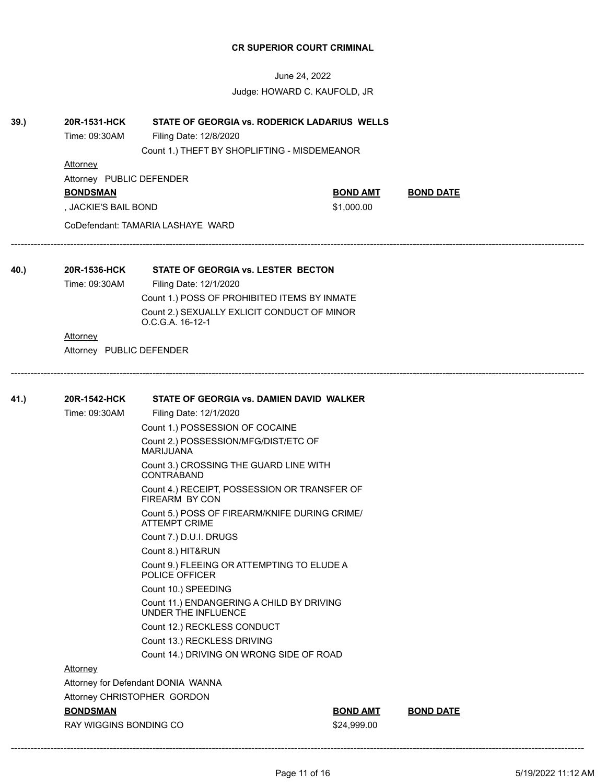June 24, 2022 Judge: HOWARD C. KAUFOLD, JR

------------------------------------------------------------------------------------------------------------------------------------------------------------------------------

------------------------------------------------------------------------------------------------------------------------------------------------------------------------------

### **39.) 20R-1531-HCK STATE OF GEORGIA vs. RODERICK LADARIUS WELLS**

Time: 09:30AM Filing Date: 12/8/2020

Count 1.) THEFT BY SHOPLIFTING - MISDEMEANOR

### **Attorney**

Attorney PUBLIC DEFENDER

**BONDSMAN BOND AMT BOND DATE**

, JACKIE'S BAIL BOND \$1,000.00

CoDefendant: TAMARIA LASHAYE WARD

### **40.) 20R-1536-HCK STATE OF GEORGIA vs. LESTER BECTON**

Time: 09:30AM Filing Date: 12/1/2020

Count 1.) POSS OF PROHIBITED ITEMS BY INMATE Count 2.) SEXUALLY EXLICIT CONDUCT OF MINOR O.C.G.A. 16-12-1

### Attorney

Attorney PUBLIC DEFENDER

# **41.) 20R-1542-HCK STATE OF GEORGIA vs. DAMIEN DAVID WALKER** Time: 09:30AM Filing Date: 12/1/2020 Count 1.) POSSESSION OF COCAINE Count 2.) POSSESSION/MFG/DIST/ETC OF MARIJUANA Count 3.) CROSSING THE GUARD LINE WITH CONTRABAND Count 4.) RECEIPT, POSSESSION OR TRANSFER OF FIREARM BY CON Count 5.) POSS OF FIREARM/KNIFE DURING CRIME/ ATTEMPT CRIME Count 7.) D.U.I. DRUGS Count 8.) HIT&RUN Count 9.) FLEEING OR ATTEMPTING TO ELUDE A POLICE OFFICER Count 10.) SPEEDING Count 11.) ENDANGERING A CHILD BY DRIVING UNDER THE INFLUENCE Count 12.) RECKLESS CONDUCT Count 13.) RECKLESS DRIVING Count 14.) DRIVING ON WRONG SIDE OF ROAD Attorney

Attorney for Defendant DONIA WANNA Attorney CHRISTOPHER GORDON

RAY WIGGINS BONDING CO \$24,999.00

**BONDSMAN BOND AMT BOND DATE**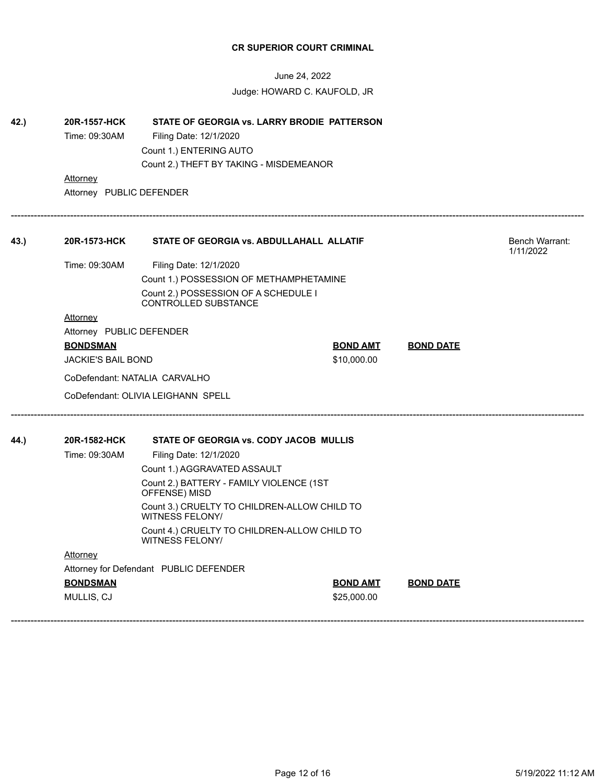| 42.) | 20R-1557-HCK                            | STATE OF GEORGIA vs. LARRY BRODIE PATTERSON                         |                 |                  |                                    |
|------|-----------------------------------------|---------------------------------------------------------------------|-----------------|------------------|------------------------------------|
|      | Time: 09:30AM                           | Filing Date: 12/1/2020                                              |                 |                  |                                    |
|      |                                         | Count 1.) ENTERING AUTO                                             |                 |                  |                                    |
|      |                                         | Count 2.) THEFT BY TAKING - MISDEMEANOR                             |                 |                  |                                    |
|      | Attorney                                |                                                                     |                 |                  |                                    |
|      | Attorney PUBLIC DEFENDER                |                                                                     |                 |                  |                                    |
| 43.) | 20R-1573-HCK                            | STATE OF GEORGIA vs. ABDULLAHALL ALLATIF                            |                 |                  | <b>Bench Warrant:</b><br>1/11/2022 |
|      | Time: 09:30AM                           | Filing Date: 12/1/2020                                              |                 |                  |                                    |
|      | Count 1.) POSSESSION OF METHAMPHETAMINE |                                                                     |                 |                  |                                    |
|      |                                         | Count 2.) POSSESSION OF A SCHEDULE I<br><b>CONTROLLED SUBSTANCE</b> |                 |                  |                                    |
|      | Attorney                                |                                                                     |                 |                  |                                    |
|      | Attorney PUBLIC DEFENDER                |                                                                     |                 |                  |                                    |
|      | <b>BONDSMAN</b>                         |                                                                     | <b>BOND AMT</b> | <b>BOND DATE</b> |                                    |
|      | <b>JACKIE'S BAIL BOND</b>               |                                                                     | \$10,000.00     |                  |                                    |
|      | CoDefendant: NATALIA CARVALHO           |                                                                     |                 |                  |                                    |
|      |                                         | CoDefendant: OLIVIA LEIGHANN SPELL                                  |                 |                  |                                    |
| 44.) | 20R-1582-HCK                            | STATE OF GEORGIA vs. CODY JACOB MULLIS                              |                 |                  |                                    |
|      | Time: 09:30AM                           | Filing Date: 12/1/2020                                              |                 |                  |                                    |
|      |                                         | Count 1.) AGGRAVATED ASSAULT                                        |                 |                  |                                    |
|      |                                         | Count 2.) BATTERY - FAMILY VIOLENCE (1ST<br>OFFENSE) MISD           |                 |                  |                                    |
|      |                                         | Count 3.) CRUELTY TO CHILDREN-ALLOW CHILD TO<br>WITNESS FELONY/     |                 |                  |                                    |
|      |                                         | Count 4.) CRUELTY TO CHILDREN-ALLOW CHILD TO<br>WITNESS FELONY/     |                 |                  |                                    |
|      | Attorney                                |                                                                     |                 |                  |                                    |
|      |                                         | Attorney for Defendant PUBLIC DEFENDER                              |                 |                  |                                    |
|      | <b>BONDSMAN</b>                         |                                                                     | <u>BOND AMT</u> | <b>BOND DATE</b> |                                    |
|      | MULLIS, CJ                              |                                                                     | \$25,000.00     |                  |                                    |
|      |                                         |                                                                     |                 |                  |                                    |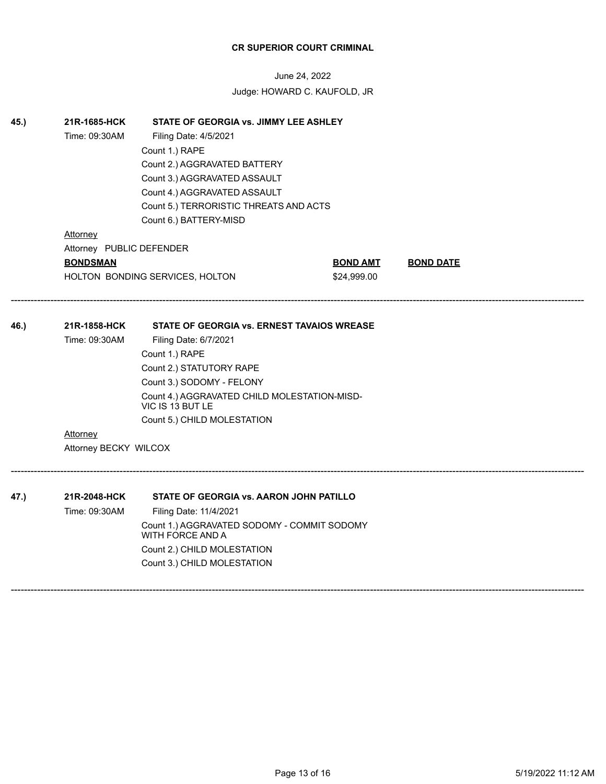June 24, 2022 Judge: HOWARD C. KAUFOLD, JR

| 45.) | 21R-1685-HCK<br>STATE OF GEORGIA vs. JIMMY LEE ASHLEY |                                                                  |                 |                  |  |  |  |
|------|-------------------------------------------------------|------------------------------------------------------------------|-----------------|------------------|--|--|--|
|      | Time: 09:30AM                                         | Filing Date: 4/5/2021                                            |                 |                  |  |  |  |
|      | Count 1.) RAPE                                        |                                                                  |                 |                  |  |  |  |
|      | Count 2.) AGGRAVATED BATTERY                          |                                                                  |                 |                  |  |  |  |
|      |                                                       | Count 3.) AGGRAVATED ASSAULT                                     |                 |                  |  |  |  |
|      |                                                       | Count 4.) AGGRAVATED ASSAULT                                     |                 |                  |  |  |  |
|      |                                                       | Count 5.) TERRORISTIC THREATS AND ACTS                           |                 |                  |  |  |  |
|      |                                                       | Count 6.) BATTERY-MISD                                           |                 |                  |  |  |  |
|      | <b>Attorney</b>                                       |                                                                  |                 |                  |  |  |  |
|      | Attorney PUBLIC DEFENDER                              |                                                                  |                 |                  |  |  |  |
|      | <b>BONDSMAN</b>                                       |                                                                  | <b>BOND AMT</b> | <b>BOND DATE</b> |  |  |  |
|      |                                                       | HOLTON BONDING SERVICES, HOLTON                                  | \$24,999.00     |                  |  |  |  |
|      |                                                       |                                                                  |                 |                  |  |  |  |
| 46.) | 21R-1858-HCK                                          | STATE OF GEORGIA vs. ERNEST TAVAIOS WREASE                       |                 |                  |  |  |  |
|      | Time: 09:30AM                                         | Filing Date: 6/7/2021                                            |                 |                  |  |  |  |
|      |                                                       | Count 1.) RAPE                                                   |                 |                  |  |  |  |
|      |                                                       | Count 2.) STATUTORY RAPE                                         |                 |                  |  |  |  |
|      |                                                       | Count 3.) SODOMY - FELONY                                        |                 |                  |  |  |  |
|      |                                                       | Count 4.) AGGRAVATED CHILD MOLESTATION-MISD-<br>VIC IS 13 BUT LE |                 |                  |  |  |  |
|      |                                                       | Count 5.) CHILD MOLESTATION                                      |                 |                  |  |  |  |
|      | <b>Attorney</b>                                       |                                                                  |                 |                  |  |  |  |
|      | Attorney BECKY WILCOX                                 |                                                                  |                 |                  |  |  |  |
|      |                                                       |                                                                  |                 |                  |  |  |  |
| 47.) | 21R-2048-HCK                                          | STATE OF GEORGIA vs. AARON JOHN PATILLO                          |                 |                  |  |  |  |
|      | Time: 09:30AM                                         | Filing Date: 11/4/2021                                           |                 |                  |  |  |  |
|      |                                                       | Count 1.) AGGRAVATED SODOMY - COMMIT SODOMY<br>WITH FORCE AND A  |                 |                  |  |  |  |
|      |                                                       | Count 2.) CHILD MOLESTATION                                      |                 |                  |  |  |  |
|      |                                                       | Count 3.) CHILD MOLESTATION                                      |                 |                  |  |  |  |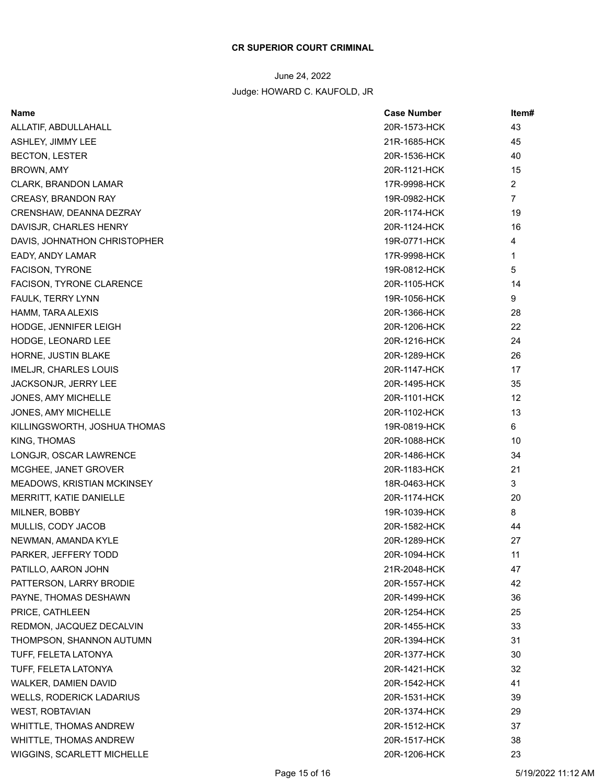| 20R-1573-HCK<br>43<br>ALLATIF, ABDULLAHALL<br>ASHLEY, JIMMY LEE<br>21R-1685-HCK<br>45<br><b>BECTON, LESTER</b><br>20R-1536-HCK<br>40<br>BROWN, AMY<br>20R-1121-HCK<br>15<br>2<br><b>CLARK, BRANDON LAMAR</b><br>17R-9998-HCK<br>19R-0982-HCK<br>7<br><b>CREASY, BRANDON RAY</b><br>CRENSHAW, DEANNA DEZRAY<br>20R-1174-HCK<br>19<br>16<br>DAVISJR, CHARLES HENRY<br>20R-1124-HCK<br>DAVIS, JOHNATHON CHRISTOPHER<br>19R-0771-HCK<br>4<br>1<br>EADY, ANDY LAMAR<br>17R-9998-HCK<br>19R-0812-HCK<br>5<br><b>FACISON, TYRONE</b><br>FACISON, TYRONE CLARENCE<br>20R-1105-HCK<br>14<br>FAULK, TERRY LYNN<br>19R-1056-HCK<br>9<br>HAMM, TARA ALEXIS<br>20R-1366-HCK<br>28<br>22<br><b>HODGE, JENNIFER LEIGH</b><br>20R-1206-HCK<br>20R-1216-HCK<br>24<br>HODGE, LEONARD LEE<br>26<br>HORNE, JUSTIN BLAKE<br>20R-1289-HCK<br><b>IMELJR, CHARLES LOUIS</b><br>20R-1147-HCK<br>17<br>JACKSONJR, JERRY LEE<br>20R-1495-HCK<br>35<br>JONES, AMY MICHELLE<br>20R-1101-HCK<br>12<br>13<br>20R-1102-HCK<br>JONES, AMY MICHELLE<br>6<br>KILLINGSWORTH, JOSHUA THOMAS<br>19R-0819-HCK<br>KING, THOMAS<br>20R-1088-HCK<br>10<br>LONGJR, OSCAR LAWRENCE<br>20R-1486-HCK<br>34<br>21<br>MCGHEE, JANET GROVER<br>20R-1183-HCK<br><b>MEADOWS, KRISTIAN MCKINSEY</b><br>18R-0463-HCK<br>3<br>MERRITT, KATIE DANIELLE<br>20R-1174-HCK<br>20<br>8<br>MILNER, BOBBY<br>19R-1039-HCK<br>MULLIS, CODY JACOB<br>20R-1582-HCK<br>44<br>20R-1289-HCK<br>27<br>NEWMAN, AMANDA KYLE<br>PARKER, JEFFERY TODD<br>20R-1094-HCK<br>11<br>PATILLO, AARON JOHN<br>21R-2048-HCK<br>47<br>PATTERSON, LARRY BRODIE<br>20R-1557-HCK<br>42<br>20R-1499-HCK<br>36<br>PAYNE, THOMAS DESHAWN<br>PRICE, CATHLEEN<br>20R-1254-HCK<br>25<br>33<br>REDMON, JACQUEZ DECALVIN<br>20R-1455-HCK<br>THOMPSON, SHANNON AUTUMN<br>20R-1394-HCK<br>31<br>TUFF, FELETA LATONYA<br>20R-1377-HCK<br>30<br>20R-1421-HCK<br>32<br>TUFF, FELETA LATONYA<br>41<br>20R-1542-HCK<br>WALKER, DAMIEN DAVID<br>20R-1531-HCK<br>39<br><b>WELLS, RODERICK LADARIUS</b><br><b>WEST, ROBTAVIAN</b><br>20R-1374-HCK<br>29<br>WHITTLE, THOMAS ANDREW<br>20R-1512-HCK<br>37<br>WHITTLE, THOMAS ANDREW<br>20R-1517-HCK<br>38<br>WIGGINS, SCARLETT MICHELLE<br>20R-1206-HCK<br>23 | Name | <b>Case Number</b> | ltem# |
|-----------------------------------------------------------------------------------------------------------------------------------------------------------------------------------------------------------------------------------------------------------------------------------------------------------------------------------------------------------------------------------------------------------------------------------------------------------------------------------------------------------------------------------------------------------------------------------------------------------------------------------------------------------------------------------------------------------------------------------------------------------------------------------------------------------------------------------------------------------------------------------------------------------------------------------------------------------------------------------------------------------------------------------------------------------------------------------------------------------------------------------------------------------------------------------------------------------------------------------------------------------------------------------------------------------------------------------------------------------------------------------------------------------------------------------------------------------------------------------------------------------------------------------------------------------------------------------------------------------------------------------------------------------------------------------------------------------------------------------------------------------------------------------------------------------------------------------------------------------------------------------------------------------------------------------------------------------------------------------------------------------------------------------------------------------------------------------------------------------------------------------------------------------------------------------------------------|------|--------------------|-------|
|                                                                                                                                                                                                                                                                                                                                                                                                                                                                                                                                                                                                                                                                                                                                                                                                                                                                                                                                                                                                                                                                                                                                                                                                                                                                                                                                                                                                                                                                                                                                                                                                                                                                                                                                                                                                                                                                                                                                                                                                                                                                                                                                                                                                     |      |                    |       |
|                                                                                                                                                                                                                                                                                                                                                                                                                                                                                                                                                                                                                                                                                                                                                                                                                                                                                                                                                                                                                                                                                                                                                                                                                                                                                                                                                                                                                                                                                                                                                                                                                                                                                                                                                                                                                                                                                                                                                                                                                                                                                                                                                                                                     |      |                    |       |
|                                                                                                                                                                                                                                                                                                                                                                                                                                                                                                                                                                                                                                                                                                                                                                                                                                                                                                                                                                                                                                                                                                                                                                                                                                                                                                                                                                                                                                                                                                                                                                                                                                                                                                                                                                                                                                                                                                                                                                                                                                                                                                                                                                                                     |      |                    |       |
|                                                                                                                                                                                                                                                                                                                                                                                                                                                                                                                                                                                                                                                                                                                                                                                                                                                                                                                                                                                                                                                                                                                                                                                                                                                                                                                                                                                                                                                                                                                                                                                                                                                                                                                                                                                                                                                                                                                                                                                                                                                                                                                                                                                                     |      |                    |       |
|                                                                                                                                                                                                                                                                                                                                                                                                                                                                                                                                                                                                                                                                                                                                                                                                                                                                                                                                                                                                                                                                                                                                                                                                                                                                                                                                                                                                                                                                                                                                                                                                                                                                                                                                                                                                                                                                                                                                                                                                                                                                                                                                                                                                     |      |                    |       |
|                                                                                                                                                                                                                                                                                                                                                                                                                                                                                                                                                                                                                                                                                                                                                                                                                                                                                                                                                                                                                                                                                                                                                                                                                                                                                                                                                                                                                                                                                                                                                                                                                                                                                                                                                                                                                                                                                                                                                                                                                                                                                                                                                                                                     |      |                    |       |
|                                                                                                                                                                                                                                                                                                                                                                                                                                                                                                                                                                                                                                                                                                                                                                                                                                                                                                                                                                                                                                                                                                                                                                                                                                                                                                                                                                                                                                                                                                                                                                                                                                                                                                                                                                                                                                                                                                                                                                                                                                                                                                                                                                                                     |      |                    |       |
|                                                                                                                                                                                                                                                                                                                                                                                                                                                                                                                                                                                                                                                                                                                                                                                                                                                                                                                                                                                                                                                                                                                                                                                                                                                                                                                                                                                                                                                                                                                                                                                                                                                                                                                                                                                                                                                                                                                                                                                                                                                                                                                                                                                                     |      |                    |       |
|                                                                                                                                                                                                                                                                                                                                                                                                                                                                                                                                                                                                                                                                                                                                                                                                                                                                                                                                                                                                                                                                                                                                                                                                                                                                                                                                                                                                                                                                                                                                                                                                                                                                                                                                                                                                                                                                                                                                                                                                                                                                                                                                                                                                     |      |                    |       |
|                                                                                                                                                                                                                                                                                                                                                                                                                                                                                                                                                                                                                                                                                                                                                                                                                                                                                                                                                                                                                                                                                                                                                                                                                                                                                                                                                                                                                                                                                                                                                                                                                                                                                                                                                                                                                                                                                                                                                                                                                                                                                                                                                                                                     |      |                    |       |
|                                                                                                                                                                                                                                                                                                                                                                                                                                                                                                                                                                                                                                                                                                                                                                                                                                                                                                                                                                                                                                                                                                                                                                                                                                                                                                                                                                                                                                                                                                                                                                                                                                                                                                                                                                                                                                                                                                                                                                                                                                                                                                                                                                                                     |      |                    |       |
|                                                                                                                                                                                                                                                                                                                                                                                                                                                                                                                                                                                                                                                                                                                                                                                                                                                                                                                                                                                                                                                                                                                                                                                                                                                                                                                                                                                                                                                                                                                                                                                                                                                                                                                                                                                                                                                                                                                                                                                                                                                                                                                                                                                                     |      |                    |       |
|                                                                                                                                                                                                                                                                                                                                                                                                                                                                                                                                                                                                                                                                                                                                                                                                                                                                                                                                                                                                                                                                                                                                                                                                                                                                                                                                                                                                                                                                                                                                                                                                                                                                                                                                                                                                                                                                                                                                                                                                                                                                                                                                                                                                     |      |                    |       |
|                                                                                                                                                                                                                                                                                                                                                                                                                                                                                                                                                                                                                                                                                                                                                                                                                                                                                                                                                                                                                                                                                                                                                                                                                                                                                                                                                                                                                                                                                                                                                                                                                                                                                                                                                                                                                                                                                                                                                                                                                                                                                                                                                                                                     |      |                    |       |
|                                                                                                                                                                                                                                                                                                                                                                                                                                                                                                                                                                                                                                                                                                                                                                                                                                                                                                                                                                                                                                                                                                                                                                                                                                                                                                                                                                                                                                                                                                                                                                                                                                                                                                                                                                                                                                                                                                                                                                                                                                                                                                                                                                                                     |      |                    |       |
|                                                                                                                                                                                                                                                                                                                                                                                                                                                                                                                                                                                                                                                                                                                                                                                                                                                                                                                                                                                                                                                                                                                                                                                                                                                                                                                                                                                                                                                                                                                                                                                                                                                                                                                                                                                                                                                                                                                                                                                                                                                                                                                                                                                                     |      |                    |       |
|                                                                                                                                                                                                                                                                                                                                                                                                                                                                                                                                                                                                                                                                                                                                                                                                                                                                                                                                                                                                                                                                                                                                                                                                                                                                                                                                                                                                                                                                                                                                                                                                                                                                                                                                                                                                                                                                                                                                                                                                                                                                                                                                                                                                     |      |                    |       |
|                                                                                                                                                                                                                                                                                                                                                                                                                                                                                                                                                                                                                                                                                                                                                                                                                                                                                                                                                                                                                                                                                                                                                                                                                                                                                                                                                                                                                                                                                                                                                                                                                                                                                                                                                                                                                                                                                                                                                                                                                                                                                                                                                                                                     |      |                    |       |
|                                                                                                                                                                                                                                                                                                                                                                                                                                                                                                                                                                                                                                                                                                                                                                                                                                                                                                                                                                                                                                                                                                                                                                                                                                                                                                                                                                                                                                                                                                                                                                                                                                                                                                                                                                                                                                                                                                                                                                                                                                                                                                                                                                                                     |      |                    |       |
|                                                                                                                                                                                                                                                                                                                                                                                                                                                                                                                                                                                                                                                                                                                                                                                                                                                                                                                                                                                                                                                                                                                                                                                                                                                                                                                                                                                                                                                                                                                                                                                                                                                                                                                                                                                                                                                                                                                                                                                                                                                                                                                                                                                                     |      |                    |       |
|                                                                                                                                                                                                                                                                                                                                                                                                                                                                                                                                                                                                                                                                                                                                                                                                                                                                                                                                                                                                                                                                                                                                                                                                                                                                                                                                                                                                                                                                                                                                                                                                                                                                                                                                                                                                                                                                                                                                                                                                                                                                                                                                                                                                     |      |                    |       |
|                                                                                                                                                                                                                                                                                                                                                                                                                                                                                                                                                                                                                                                                                                                                                                                                                                                                                                                                                                                                                                                                                                                                                                                                                                                                                                                                                                                                                                                                                                                                                                                                                                                                                                                                                                                                                                                                                                                                                                                                                                                                                                                                                                                                     |      |                    |       |
|                                                                                                                                                                                                                                                                                                                                                                                                                                                                                                                                                                                                                                                                                                                                                                                                                                                                                                                                                                                                                                                                                                                                                                                                                                                                                                                                                                                                                                                                                                                                                                                                                                                                                                                                                                                                                                                                                                                                                                                                                                                                                                                                                                                                     |      |                    |       |
|                                                                                                                                                                                                                                                                                                                                                                                                                                                                                                                                                                                                                                                                                                                                                                                                                                                                                                                                                                                                                                                                                                                                                                                                                                                                                                                                                                                                                                                                                                                                                                                                                                                                                                                                                                                                                                                                                                                                                                                                                                                                                                                                                                                                     |      |                    |       |
|                                                                                                                                                                                                                                                                                                                                                                                                                                                                                                                                                                                                                                                                                                                                                                                                                                                                                                                                                                                                                                                                                                                                                                                                                                                                                                                                                                                                                                                                                                                                                                                                                                                                                                                                                                                                                                                                                                                                                                                                                                                                                                                                                                                                     |      |                    |       |
|                                                                                                                                                                                                                                                                                                                                                                                                                                                                                                                                                                                                                                                                                                                                                                                                                                                                                                                                                                                                                                                                                                                                                                                                                                                                                                                                                                                                                                                                                                                                                                                                                                                                                                                                                                                                                                                                                                                                                                                                                                                                                                                                                                                                     |      |                    |       |
|                                                                                                                                                                                                                                                                                                                                                                                                                                                                                                                                                                                                                                                                                                                                                                                                                                                                                                                                                                                                                                                                                                                                                                                                                                                                                                                                                                                                                                                                                                                                                                                                                                                                                                                                                                                                                                                                                                                                                                                                                                                                                                                                                                                                     |      |                    |       |
|                                                                                                                                                                                                                                                                                                                                                                                                                                                                                                                                                                                                                                                                                                                                                                                                                                                                                                                                                                                                                                                                                                                                                                                                                                                                                                                                                                                                                                                                                                                                                                                                                                                                                                                                                                                                                                                                                                                                                                                                                                                                                                                                                                                                     |      |                    |       |
|                                                                                                                                                                                                                                                                                                                                                                                                                                                                                                                                                                                                                                                                                                                                                                                                                                                                                                                                                                                                                                                                                                                                                                                                                                                                                                                                                                                                                                                                                                                                                                                                                                                                                                                                                                                                                                                                                                                                                                                                                                                                                                                                                                                                     |      |                    |       |
|                                                                                                                                                                                                                                                                                                                                                                                                                                                                                                                                                                                                                                                                                                                                                                                                                                                                                                                                                                                                                                                                                                                                                                                                                                                                                                                                                                                                                                                                                                                                                                                                                                                                                                                                                                                                                                                                                                                                                                                                                                                                                                                                                                                                     |      |                    |       |
|                                                                                                                                                                                                                                                                                                                                                                                                                                                                                                                                                                                                                                                                                                                                                                                                                                                                                                                                                                                                                                                                                                                                                                                                                                                                                                                                                                                                                                                                                                                                                                                                                                                                                                                                                                                                                                                                                                                                                                                                                                                                                                                                                                                                     |      |                    |       |
|                                                                                                                                                                                                                                                                                                                                                                                                                                                                                                                                                                                                                                                                                                                                                                                                                                                                                                                                                                                                                                                                                                                                                                                                                                                                                                                                                                                                                                                                                                                                                                                                                                                                                                                                                                                                                                                                                                                                                                                                                                                                                                                                                                                                     |      |                    |       |
|                                                                                                                                                                                                                                                                                                                                                                                                                                                                                                                                                                                                                                                                                                                                                                                                                                                                                                                                                                                                                                                                                                                                                                                                                                                                                                                                                                                                                                                                                                                                                                                                                                                                                                                                                                                                                                                                                                                                                                                                                                                                                                                                                                                                     |      |                    |       |
|                                                                                                                                                                                                                                                                                                                                                                                                                                                                                                                                                                                                                                                                                                                                                                                                                                                                                                                                                                                                                                                                                                                                                                                                                                                                                                                                                                                                                                                                                                                                                                                                                                                                                                                                                                                                                                                                                                                                                                                                                                                                                                                                                                                                     |      |                    |       |
|                                                                                                                                                                                                                                                                                                                                                                                                                                                                                                                                                                                                                                                                                                                                                                                                                                                                                                                                                                                                                                                                                                                                                                                                                                                                                                                                                                                                                                                                                                                                                                                                                                                                                                                                                                                                                                                                                                                                                                                                                                                                                                                                                                                                     |      |                    |       |
|                                                                                                                                                                                                                                                                                                                                                                                                                                                                                                                                                                                                                                                                                                                                                                                                                                                                                                                                                                                                                                                                                                                                                                                                                                                                                                                                                                                                                                                                                                                                                                                                                                                                                                                                                                                                                                                                                                                                                                                                                                                                                                                                                                                                     |      |                    |       |
|                                                                                                                                                                                                                                                                                                                                                                                                                                                                                                                                                                                                                                                                                                                                                                                                                                                                                                                                                                                                                                                                                                                                                                                                                                                                                                                                                                                                                                                                                                                                                                                                                                                                                                                                                                                                                                                                                                                                                                                                                                                                                                                                                                                                     |      |                    |       |
|                                                                                                                                                                                                                                                                                                                                                                                                                                                                                                                                                                                                                                                                                                                                                                                                                                                                                                                                                                                                                                                                                                                                                                                                                                                                                                                                                                                                                                                                                                                                                                                                                                                                                                                                                                                                                                                                                                                                                                                                                                                                                                                                                                                                     |      |                    |       |
|                                                                                                                                                                                                                                                                                                                                                                                                                                                                                                                                                                                                                                                                                                                                                                                                                                                                                                                                                                                                                                                                                                                                                                                                                                                                                                                                                                                                                                                                                                                                                                                                                                                                                                                                                                                                                                                                                                                                                                                                                                                                                                                                                                                                     |      |                    |       |
|                                                                                                                                                                                                                                                                                                                                                                                                                                                                                                                                                                                                                                                                                                                                                                                                                                                                                                                                                                                                                                                                                                                                                                                                                                                                                                                                                                                                                                                                                                                                                                                                                                                                                                                                                                                                                                                                                                                                                                                                                                                                                                                                                                                                     |      |                    |       |
|                                                                                                                                                                                                                                                                                                                                                                                                                                                                                                                                                                                                                                                                                                                                                                                                                                                                                                                                                                                                                                                                                                                                                                                                                                                                                                                                                                                                                                                                                                                                                                                                                                                                                                                                                                                                                                                                                                                                                                                                                                                                                                                                                                                                     |      |                    |       |
|                                                                                                                                                                                                                                                                                                                                                                                                                                                                                                                                                                                                                                                                                                                                                                                                                                                                                                                                                                                                                                                                                                                                                                                                                                                                                                                                                                                                                                                                                                                                                                                                                                                                                                                                                                                                                                                                                                                                                                                                                                                                                                                                                                                                     |      |                    |       |
|                                                                                                                                                                                                                                                                                                                                                                                                                                                                                                                                                                                                                                                                                                                                                                                                                                                                                                                                                                                                                                                                                                                                                                                                                                                                                                                                                                                                                                                                                                                                                                                                                                                                                                                                                                                                                                                                                                                                                                                                                                                                                                                                                                                                     |      |                    |       |
|                                                                                                                                                                                                                                                                                                                                                                                                                                                                                                                                                                                                                                                                                                                                                                                                                                                                                                                                                                                                                                                                                                                                                                                                                                                                                                                                                                                                                                                                                                                                                                                                                                                                                                                                                                                                                                                                                                                                                                                                                                                                                                                                                                                                     |      |                    |       |
|                                                                                                                                                                                                                                                                                                                                                                                                                                                                                                                                                                                                                                                                                                                                                                                                                                                                                                                                                                                                                                                                                                                                                                                                                                                                                                                                                                                                                                                                                                                                                                                                                                                                                                                                                                                                                                                                                                                                                                                                                                                                                                                                                                                                     |      |                    |       |